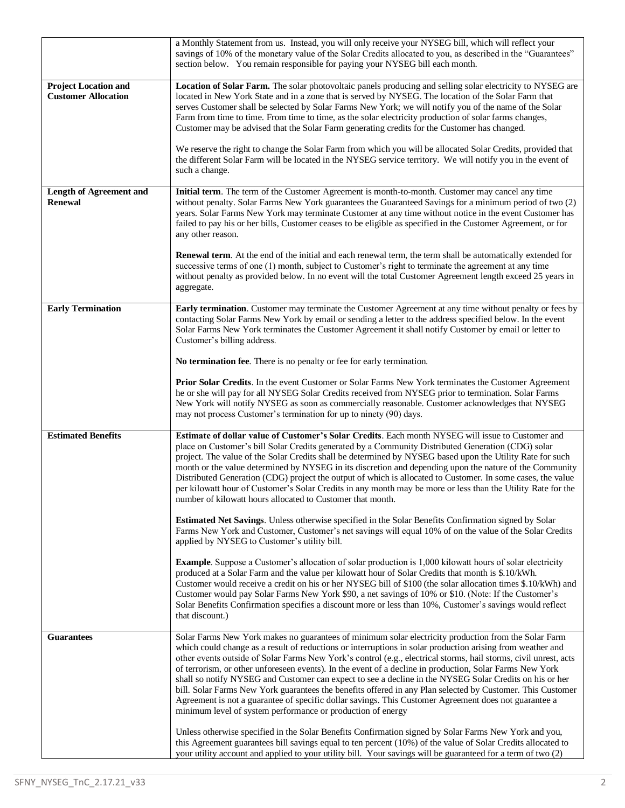|                                | a Monthly Statement from us. Instead, you will only receive your NYSEG bill, which will reflect your<br>savings of 10% of the monetary value of the Solar Credits allocated to you, as described in the "Guarantees"<br>section below. You remain responsible for paying your NYSEG bill each month. |
|--------------------------------|------------------------------------------------------------------------------------------------------------------------------------------------------------------------------------------------------------------------------------------------------------------------------------------------------|
| <b>Project Location and</b>    | Location of Solar Farm. The solar photovoltaic panels producing and selling solar electricity to NYSEG are                                                                                                                                                                                           |
| <b>Customer Allocation</b>     | located in New York State and in a zone that is served by NYSEG. The location of the Solar Farm that                                                                                                                                                                                                 |
|                                | serves Customer shall be selected by Solar Farms New York; we will notify you of the name of the Solar                                                                                                                                                                                               |
|                                | Farm from time to time. From time to time, as the solar electricity production of solar farms changes,                                                                                                                                                                                               |
|                                | Customer may be advised that the Solar Farm generating credits for the Customer has changed.                                                                                                                                                                                                         |
|                                |                                                                                                                                                                                                                                                                                                      |
|                                | We reserve the right to change the Solar Farm from which you will be allocated Solar Credits, provided that                                                                                                                                                                                          |
|                                | the different Solar Farm will be located in the NYSEG service territory. We will notify you in the event of                                                                                                                                                                                          |
|                                | such a change.                                                                                                                                                                                                                                                                                       |
| <b>Length of Agreement and</b> | Initial term. The term of the Customer Agreement is month-to-month. Customer may cancel any time                                                                                                                                                                                                     |
| <b>Renewal</b>                 | without penalty. Solar Farms New York guarantees the Guaranteed Savings for a minimum period of two (2)                                                                                                                                                                                              |
|                                | years. Solar Farms New York may terminate Customer at any time without notice in the event Customer has                                                                                                                                                                                              |
|                                | failed to pay his or her bills, Customer ceases to be eligible as specified in the Customer Agreement, or for                                                                                                                                                                                        |
|                                | any other reason.                                                                                                                                                                                                                                                                                    |
|                                |                                                                                                                                                                                                                                                                                                      |
|                                | <b>Renewal term.</b> At the end of the initial and each renewal term, the term shall be automatically extended for<br>successive terms of one (1) month, subject to Customer's right to terminate the agreement at any time                                                                          |
|                                | without penalty as provided below. In no event will the total Customer Agreement length exceed 25 years in                                                                                                                                                                                           |
|                                | aggregate.                                                                                                                                                                                                                                                                                           |
|                                |                                                                                                                                                                                                                                                                                                      |
| <b>Early Termination</b>       | Early termination. Customer may terminate the Customer Agreement at any time without penalty or fees by                                                                                                                                                                                              |
|                                | contacting Solar Farms New York by email or sending a letter to the address specified below. In the event                                                                                                                                                                                            |
|                                | Solar Farms New York terminates the Customer Agreement it shall notify Customer by email or letter to                                                                                                                                                                                                |
|                                | Customer's billing address.                                                                                                                                                                                                                                                                          |
|                                | No termination fee. There is no penalty or fee for early termination.                                                                                                                                                                                                                                |
|                                | <b>Prior Solar Credits.</b> In the event Customer or Solar Farms New York terminates the Customer Agreement                                                                                                                                                                                          |
|                                | he or she will pay for all NYSEG Solar Credits received from NYSEG prior to termination. Solar Farms                                                                                                                                                                                                 |
|                                | New York will notify NYSEG as soon as commercially reasonable. Customer acknowledges that NYSEG                                                                                                                                                                                                      |
|                                | may not process Customer's termination for up to ninety (90) days.                                                                                                                                                                                                                                   |
| <b>Estimated Benefits</b>      | Estimate of dollar value of Customer's Solar Credits. Each month NYSEG will issue to Customer and                                                                                                                                                                                                    |
|                                | place on Customer's bill Solar Credits generated by a Community Distributed Generation (CDG) solar                                                                                                                                                                                                   |
|                                | project. The value of the Solar Credits shall be determined by NYSEG based upon the Utility Rate for such                                                                                                                                                                                            |
|                                | month or the value determined by NYSEG in its discretion and depending upon the nature of the Community                                                                                                                                                                                              |
|                                | Distributed Generation (CDG) project the output of which is allocated to Customer. In some cases, the value                                                                                                                                                                                          |
|                                | per kilowatt hour of Customer's Solar Credits in any month may be more or less than the Utility Rate for the                                                                                                                                                                                         |
|                                | number of kilowatt hours allocated to Customer that month.                                                                                                                                                                                                                                           |
|                                | Estimated Net Savings. Unless otherwise specified in the Solar Benefits Confirmation signed by Solar                                                                                                                                                                                                 |
|                                | Farms New York and Customer, Customer's net savings will equal 10% of on the value of the Solar Credits                                                                                                                                                                                              |
|                                | applied by NYSEG to Customer's utility bill.                                                                                                                                                                                                                                                         |
|                                |                                                                                                                                                                                                                                                                                                      |
|                                | <b>Example</b> . Suppose a Customer's allocation of solar production is 1,000 kilowatt hours of solar electricity                                                                                                                                                                                    |
|                                | produced at a Solar Farm and the value per kilowatt hour of Solar Credits that month is \$.10/kWh.                                                                                                                                                                                                   |
|                                | Customer would receive a credit on his or her NYSEG bill of \$100 (the solar allocation times \$.10/kWh) and<br>Customer would pay Solar Farms New York \$90, a net savings of 10% or \$10. (Note: If the Customer's                                                                                 |
|                                | Solar Benefits Confirmation specifies a discount more or less than 10%, Customer's savings would reflect                                                                                                                                                                                             |
|                                | that discount.)                                                                                                                                                                                                                                                                                      |
|                                |                                                                                                                                                                                                                                                                                                      |
| <b>Guarantees</b>              | Solar Farms New York makes no guarantees of minimum solar electricity production from the Solar Farm                                                                                                                                                                                                 |
|                                | which could change as a result of reductions or interruptions in solar production arising from weather and                                                                                                                                                                                           |
|                                | other events outside of Solar Farms New York's control (e.g., electrical storms, hail storms, civil unrest, acts                                                                                                                                                                                     |
|                                | of terrorism, or other unforeseen events). In the event of a decline in production, Solar Farms New York                                                                                                                                                                                             |
|                                | shall so notify NYSEG and Customer can expect to see a decline in the NYSEG Solar Credits on his or her                                                                                                                                                                                              |
|                                | bill. Solar Farms New York guarantees the benefits offered in any Plan selected by Customer. This Customer<br>Agreement is not a guarantee of specific dollar savings. This Customer Agreement does not guarantee a                                                                                  |
|                                | minimum level of system performance or production of energy                                                                                                                                                                                                                                          |
|                                |                                                                                                                                                                                                                                                                                                      |
|                                | Unless otherwise specified in the Solar Benefits Confirmation signed by Solar Farms New York and you,                                                                                                                                                                                                |
|                                | this Agreement guarantees bill savings equal to ten percent (10%) of the value of Solar Credits allocated to<br>your utility account and applied to your utility bill. Your savings will be guaranteed for a term of two (2)                                                                         |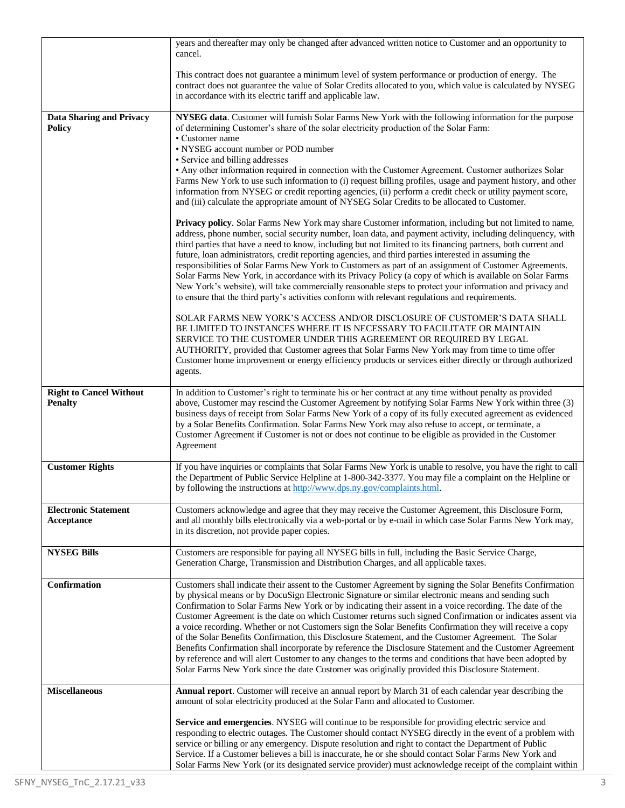|                                                  | years and thereafter may only be changed after advanced written notice to Customer and an opportunity to<br>cancel.                                                                                                                                                                                                                                                                                                                                                                                                                                                                                                                                                                                                                                                                                                                                                                                                                                                                        |
|--------------------------------------------------|--------------------------------------------------------------------------------------------------------------------------------------------------------------------------------------------------------------------------------------------------------------------------------------------------------------------------------------------------------------------------------------------------------------------------------------------------------------------------------------------------------------------------------------------------------------------------------------------------------------------------------------------------------------------------------------------------------------------------------------------------------------------------------------------------------------------------------------------------------------------------------------------------------------------------------------------------------------------------------------------|
|                                                  | This contract does not guarantee a minimum level of system performance or production of energy. The<br>contract does not guarantee the value of Solar Credits allocated to you, which value is calculated by NYSEG<br>in accordance with its electric tariff and applicable law.                                                                                                                                                                                                                                                                                                                                                                                                                                                                                                                                                                                                                                                                                                           |
| <b>Data Sharing and Privacy</b><br><b>Policy</b> | NYSEG data. Customer will furnish Solar Farms New York with the following information for the purpose<br>of determining Customer's share of the solar electricity production of the Solar Farm:<br>• Customer name                                                                                                                                                                                                                                                                                                                                                                                                                                                                                                                                                                                                                                                                                                                                                                         |
|                                                  | • NYSEG account number or POD number                                                                                                                                                                                                                                                                                                                                                                                                                                                                                                                                                                                                                                                                                                                                                                                                                                                                                                                                                       |
|                                                  | • Service and billing addresses<br>• Any other information required in connection with the Customer Agreement. Customer authorizes Solar                                                                                                                                                                                                                                                                                                                                                                                                                                                                                                                                                                                                                                                                                                                                                                                                                                                   |
|                                                  | Farms New York to use such information to (i) request billing profiles, usage and payment history, and other<br>information from NYSEG or credit reporting agencies, (ii) perform a credit check or utility payment score,<br>and (iii) calculate the appropriate amount of NYSEG Solar Credits to be allocated to Customer.                                                                                                                                                                                                                                                                                                                                                                                                                                                                                                                                                                                                                                                               |
|                                                  | <b>Privacy policy.</b> Solar Farms New York may share Customer information, including but not limited to name,<br>address, phone number, social security number, loan data, and payment activity, including delinquency, with<br>third parties that have a need to know, including but not limited to its financing partners, both current and<br>future, loan administrators, credit reporting agencies, and third parties interested in assuming the<br>responsibilities of Solar Farms New York to Customers as part of an assignment of Customer Agreements.<br>Solar Farms New York, in accordance with its Privacy Policy (a copy of which is available on Solar Farms<br>New York's website), will take commercially reasonable steps to protect your information and privacy and<br>to ensure that the third party's activities conform with relevant regulations and requirements.                                                                                                |
|                                                  | SOLAR FARMS NEW YORK'S ACCESS AND/OR DISCLOSURE OF CUSTOMER'S DATA SHALL<br>BE LIMITED TO INSTANCES WHERE IT IS NECESSARY TO FACILITATE OR MAINTAIN<br>SERVICE TO THE CUSTOMER UNDER THIS AGREEMENT OR REQUIRED BY LEGAL<br>AUTHORITY, provided that Customer agrees that Solar Farms New York may from time to time offer<br>Customer home improvement or energy efficiency products or services either directly or through authorized<br>agents.                                                                                                                                                                                                                                                                                                                                                                                                                                                                                                                                         |
| <b>Right to Cancel Without</b><br><b>Penalty</b> | In addition to Customer's right to terminate his or her contract at any time without penalty as provided<br>above, Customer may rescind the Customer Agreement by notifying Solar Farms New York within three (3)<br>business days of receipt from Solar Farms New York of a copy of its fully executed agreement as evidenced<br>by a Solar Benefits Confirmation. Solar Farms New York may also refuse to accept, or terminate, a<br>Customer Agreement if Customer is not or does not continue to be eligible as provided in the Customer<br>Agreement                                                                                                                                                                                                                                                                                                                                                                                                                                  |
| <b>Customer Rights</b>                           | If you have inquiries or complaints that Solar Farms New York is unable to resolve, you have the right to call<br>the Department of Public Service Helpline at 1-800-342-3377. You may file a complaint on the Helpline or<br>by following the instructions at http://www.dps.ny.gov/complaints.html.                                                                                                                                                                                                                                                                                                                                                                                                                                                                                                                                                                                                                                                                                      |
| <b>Electronic Statement</b><br>Acceptance        | Customers acknowledge and agree that they may receive the Customer Agreement, this Disclosure Form,<br>and all monthly bills electronically via a web-portal or by e-mail in which case Solar Farms New York may,<br>in its discretion, not provide paper copies.                                                                                                                                                                                                                                                                                                                                                                                                                                                                                                                                                                                                                                                                                                                          |
| <b>NYSEG Bills</b>                               | Customers are responsible for paying all NYSEG bills in full, including the Basic Service Charge,<br>Generation Charge, Transmission and Distribution Charges, and all applicable taxes.                                                                                                                                                                                                                                                                                                                                                                                                                                                                                                                                                                                                                                                                                                                                                                                                   |
| Confirmation                                     | Customers shall indicate their assent to the Customer Agreement by signing the Solar Benefits Confirmation<br>by physical means or by DocuSign Electronic Signature or similar electronic means and sending such<br>Confirmation to Solar Farms New York or by indicating their assent in a voice recording. The date of the<br>Customer Agreement is the date on which Customer returns such signed Confirmation or indicates assent via<br>a voice recording. Whether or not Customers sign the Solar Benefits Confirmation they will receive a copy<br>of the Solar Benefits Confirmation, this Disclosure Statement, and the Customer Agreement. The Solar<br>Benefits Confirmation shall incorporate by reference the Disclosure Statement and the Customer Agreement<br>by reference and will alert Customer to any changes to the terms and conditions that have been adopted by<br>Solar Farms New York since the date Customer was originally provided this Disclosure Statement. |
| <b>Miscellaneous</b>                             | Annual report. Customer will receive an annual report by March 31 of each calendar year describing the<br>amount of solar electricity produced at the Solar Farm and allocated to Customer.                                                                                                                                                                                                                                                                                                                                                                                                                                                                                                                                                                                                                                                                                                                                                                                                |
|                                                  | Service and emergencies. NYSEG will continue to be responsible for providing electric service and<br>responding to electric outages. The Customer should contact NYSEG directly in the event of a problem with<br>service or billing or any emergency. Dispute resolution and right to contact the Department of Public<br>Service. If a Customer believes a bill is inaccurate, he or she should contact Solar Farms New York and<br>Solar Farms New York (or its designated service provider) must acknowledge receipt of the complaint within                                                                                                                                                                                                                                                                                                                                                                                                                                           |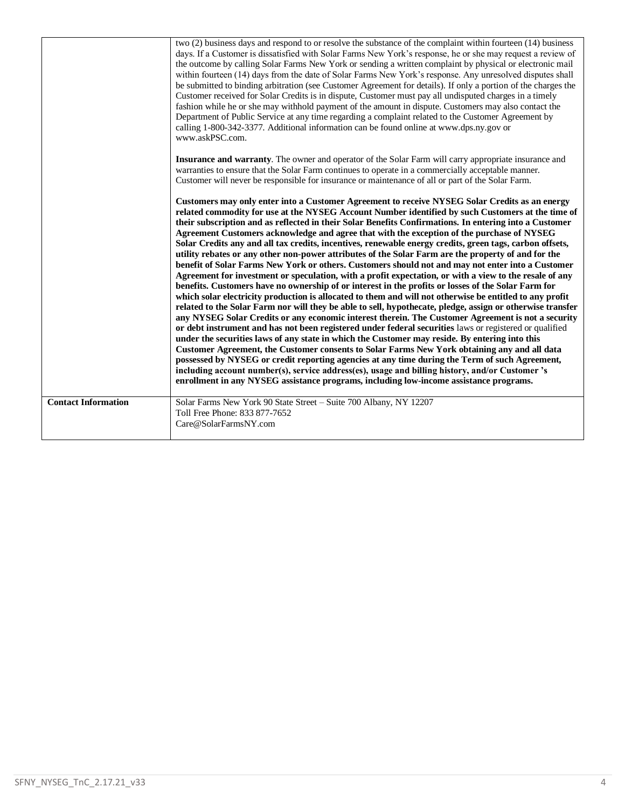|                            | two (2) business days and respond to or resolve the substance of the complaint within fourteen (14) business<br>days. If a Customer is dissatisfied with Solar Farms New York's response, he or she may request a review of<br>the outcome by calling Solar Farms New York or sending a written complaint by physical or electronic mail<br>within fourteen (14) days from the date of Solar Farms New York's response. Any unresolved disputes shall<br>be submitted to binding arbitration (see Customer Agreement for details). If only a portion of the charges the<br>Customer received for Solar Credits is in dispute, Customer must pay all undisputed charges in a timely<br>fashion while he or she may withhold payment of the amount in dispute. Customers may also contact the<br>Department of Public Service at any time regarding a complaint related to the Customer Agreement by<br>calling 1-800-342-3377. Additional information can be found online at www.dps.ny.gov or<br>www.askPSC.com.                                                                                                                                                                                                                                                                                                                                                                                                                                                                                                                                                                                                                                                                                                                                                                                                                                                                                 |
|----------------------------|--------------------------------------------------------------------------------------------------------------------------------------------------------------------------------------------------------------------------------------------------------------------------------------------------------------------------------------------------------------------------------------------------------------------------------------------------------------------------------------------------------------------------------------------------------------------------------------------------------------------------------------------------------------------------------------------------------------------------------------------------------------------------------------------------------------------------------------------------------------------------------------------------------------------------------------------------------------------------------------------------------------------------------------------------------------------------------------------------------------------------------------------------------------------------------------------------------------------------------------------------------------------------------------------------------------------------------------------------------------------------------------------------------------------------------------------------------------------------------------------------------------------------------------------------------------------------------------------------------------------------------------------------------------------------------------------------------------------------------------------------------------------------------------------------------------------------------------------------------------------------------------------------|
|                            | <b>Insurance and warranty</b> . The owner and operator of the Solar Farm will carry appropriate insurance and<br>warranties to ensure that the Solar Farm continues to operate in a commercially acceptable manner.<br>Customer will never be responsible for insurance or maintenance of all or part of the Solar Farm.                                                                                                                                                                                                                                                                                                                                                                                                                                                                                                                                                                                                                                                                                                                                                                                                                                                                                                                                                                                                                                                                                                                                                                                                                                                                                                                                                                                                                                                                                                                                                                         |
|                            | Customers may only enter into a Customer Agreement to receive NYSEG Solar Credits as an energy<br>related commodity for use at the NYSEG Account Number identified by such Customers at the time of<br>their subscription and as reflected in their Solar Benefits Confirmations. In entering into a Customer<br>Agreement Customers acknowledge and agree that with the exception of the purchase of NYSEG<br>Solar Credits any and all tax credits, incentives, renewable energy credits, green tags, carbon offsets,<br>utility rebates or any other non-power attributes of the Solar Farm are the property of and for the<br>benefit of Solar Farms New York or others. Customers should not and may not enter into a Customer<br>Agreement for investment or speculation, with a profit expectation, or with a view to the resale of any<br>benefits. Customers have no ownership of or interest in the profits or losses of the Solar Farm for<br>which solar electricity production is allocated to them and will not otherwise be entitled to any profit<br>related to the Solar Farm nor will they be able to sell, hypothecate, pledge, assign or otherwise transfer<br>any NYSEG Solar Credits or any economic interest therein. The Customer Agreement is not a security<br>or debt instrument and has not been registered under federal securities laws or registered or qualified<br>under the securities laws of any state in which the Customer may reside. By entering into this<br>Customer Agreement, the Customer consents to Solar Farms New York obtaining any and all data<br>possessed by NYSEG or credit reporting agencies at any time during the Term of such Agreement,<br>including account number(s), service address(es), usage and billing history, and/or Customer's<br>enrollment in any NYSEG assistance programs, including low-income assistance programs. |
| <b>Contact Information</b> | Solar Farms New York 90 State Street - Suite 700 Albany, NY 12207<br>Toll Free Phone: 833 877-7652<br>Care@SolarFarmsNY.com                                                                                                                                                                                                                                                                                                                                                                                                                                                                                                                                                                                                                                                                                                                                                                                                                                                                                                                                                                                                                                                                                                                                                                                                                                                                                                                                                                                                                                                                                                                                                                                                                                                                                                                                                                      |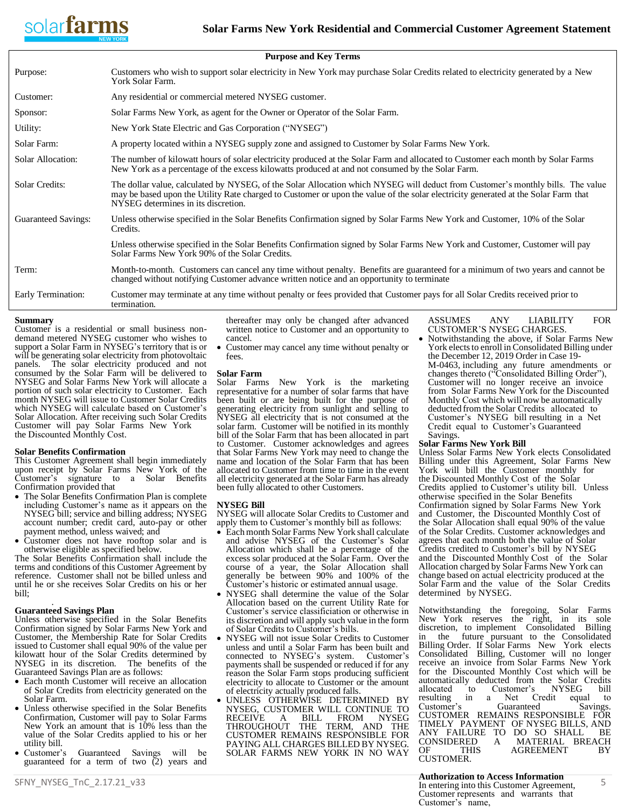

| <b>Purpose and Key Terms</b> |                                                                                                                                                                                                                                                                                                              |  |
|------------------------------|--------------------------------------------------------------------------------------------------------------------------------------------------------------------------------------------------------------------------------------------------------------------------------------------------------------|--|
| Purpose:                     | Customers who wish to support solar electricity in New York may purchase Solar Credits related to electricity generated by a New<br>York Solar Farm.                                                                                                                                                         |  |
| Customer:                    | Any residential or commercial metered NYSEG customer.                                                                                                                                                                                                                                                        |  |
| Sponsor:                     | Solar Farms New York, as agent for the Owner or Operator of the Solar Farm.                                                                                                                                                                                                                                  |  |
| Utility:                     | New York State Electric and Gas Corporation ("NYSEG")                                                                                                                                                                                                                                                        |  |
| Solar Farm:                  | A property located within a NYSEG supply zone and assigned to Customer by Solar Farms New York.                                                                                                                                                                                                              |  |
| Solar Allocation:            | The number of kilowatt hours of solar electricity produced at the Solar Farm and allocated to Customer each month by Solar Farms<br>New York as a percentage of the excess kilowatts produced at and not consumed by the Solar Farm.                                                                         |  |
| Solar Credits:               | The dollar value, calculated by NYSEG, of the Solar Allocation which NYSEG will deduct from Customer's monthly bills. The value<br>may be based upon the Utility Rate charged to Customer or upon the value of the solar electricity generated at the Solar Farm that<br>NYSEG determines in its discretion. |  |
| <b>Guaranteed Savings:</b>   | Unless otherwise specified in the Solar Benefits Confirmation signed by Solar Farms New York and Customer, 10% of the Solar<br>Credits.                                                                                                                                                                      |  |
|                              | Unless otherwise specified in the Solar Benefits Confirmation signed by Solar Farms New York and Customer, Customer will pay<br>Solar Farms New York 90% of the Solar Credits.                                                                                                                               |  |
| Term:                        | Month-to-month. Customers can cancel any time without penalty. Benefits are guaranteed for a minimum of two years and cannot be<br>changed without notifying Customer advance written notice and an opportunity to terminate                                                                                 |  |
| Early Termination:           | Customer may terminate at any time without penalty or fees provided that Customer pays for all Solar Credits received prior to<br>termination.                                                                                                                                                               |  |

# **Summary**

Customer is a residential or small business nondemand metered NYSEG customer who wishes to support a Solar Farm in NYSEG's territory that is or will be generating solar electricity from photovoltaic panels. The solar electricity produced and not consumed by the Solar Farm will be delivered to NYSEG and Solar Farms New York will allocate a portion of such solar electricity to Customer. Each month NYSEG will issue to Customer Solar Credits which NYSEG will calculate based on Customer's Solar Allocation. After receiving such Solar Credits Customer will pay Solar Farms New York the Discounted Monthly Cost.

# **Solar Benefits Confirmation**

This Customer Agreement shall begin immediately upon receipt by Solar Farms New York of the Customer's signature to a Solar Benefits Confirmation provided that

- The Solar Benefits Confirmation Plan is complete including Customer's name as it appears on the NYSEG bill; service and billing address; NYSEG account number; credit card, auto-pay or other payment method, unless waived; and
- Customer does not have rooftop solar and is otherwise eligible as specified below.

The Solar Benefits Confirmation shall include the terms and conditions of this Customer Agreement by reference. Customer shall not be billed unless and until he or she receives Solar Credits on his or her bill;

#### . **Guaranteed Savings Plan**

Unless otherwise specified in the Solar Benefits Confirmation signed by Solar Farms New York and Customer, the Membership Rate for Solar Credits issued to Customer shall equal 90% of the value per kilowatt hour of the Solar Credits determined by NYSEG in its discretion. The benefits of the Guaranteed Savings Plan are as follows:

- Each month Customer will receive an allocation of Solar Credits from electricity generated on the Solar Farm.
- Unless otherwise specified in the Solar Benefits Confirmation, Customer will pay to Solar Farms New York an amount that is 10% less than the value of the Solar Credits applied to his or her utility bill.
- Customer's Guaranteed Savings will be guaranteed for a term of two  $(2)$  years and

thereafter may only be changed after advanced written notice to Customer and an opportunity to cancel.

• Customer may cancel any time without penalty or fees.

# **Solar Farm**

Solar Farms New York is the marketing representative for a number of solar farms that have been built or are being built for the purpose of generating electricity from sunlight and selling to NYSEG all electricity that is not consumed at the solar farm. Customer will be notified in its monthly bill of the Solar Farm that has been allocated in part to Customer. Customer acknowledges and agrees that Solar Farms New York may need to change the name and location of the Solar Farm that has been allocated to Customer from time to time in the event all electricity generated at the Solar Farm has already been fully allocated to other Customers.

# **NYSEG Bill**

NYSEG will allocate Solar Credits to Customer and apply them to Customer's monthly bill as follows:

- Each month Solar Farms New York shall calculate and advise NYSEG of the Customer's Solar Allocation which shall be a percentage of the excess solar produced at the Solar Farm. Over the course of a year, the Solar Allocation shall generally be between 90% and 100% of the Customer's historic or estimated annual usage.
- NYSEG shall determine the value of the Solar Allocation based on the current Utility Rate for Customer's service classificiation or otherwise in its discretion and will apply such value in the form of Solar Credits to Customer's bills.
- NYSEG will not issue Solar Credits to Customer unless and until a Solar Farm has been built and<br>connected to NYSEG's system. Customer's connected to NYSEG's system. payments shall be suspended or reduced if for any reason the Solar Farm stops producing sufficient electricity to allocate to Customer or the amount of electricity actually produced falls.
- UNLESS OTHERWISE DETERMINED BY NYSEG, CUSTOMER WILL CONTINUE TO RECEIVE A BILL FROM NYSEG THROUGHOUT THE TERM, AND THE CUSTOMER REMAINS RESPONSIBLE FOR PAYING ALL CHARGES BILLED BY NYSEG. SOLAR FARMS NEW YORK IN NO WAY

ASSUMES ANY LIABILITY FOR CUSTOMER'S NYSEG CHARGES.

• Notwithstanding the above, if Solar Farms New York elects to enroll in Consolidated Billing under the December 12, 2019 Order in Case 19- M-0463, including any future amendments or changes thereto ("Consolidated Billing Order"), Customer will no longer receive an invoice from Solar Farms New York for the Discounted Monthly Cost which will now be automatically deducted from the Solar Credits allocated to Customer's NYSEG bill resulting in a Net Credit equal to Customer's Guaranteed Savings.

# **Solar Farms New York Bill**

Unless Solar Farms New York elects Consolidated Billing under this Agreement, Solar Farms New York will bill the Customer monthly for the Discounted Monthly Cost of the Solar Credits applied to Customer's utility bill. Unless otherwise specified in the Solar Benefits Confirmation signed by Solar Farms New York and Customer, the Discounted Monthly Cost of the Solar Allocation shall equal 90% of the value of the Solar Credits. Customer acknowledges and agrees that each month both the value of Solar Credits credited to Customer's bill by NYSEG and the Discounted Monthly Cost of the Solar Allocation charged by Solar Farms New York can change based on actual electricity produced at the Solar Farm and the value of the Solar Credits determined by NYSEG.

Notwithstanding the foregoing, Solar Farms New York reserves the right, in its sole discretion, to implement Consolidated Billing in the future pursuant to the Consolidated Billing Order. If Solar Farms New York elects Consolidated Billing, Customer will no longer receive an invoice from Solar Farms New York for the Discounted Monthly Cost which will be automatically deducted from the Solar Credits allocated to Customer's NYSEG<br>resulting in a Net Credit equal resulting in a Net Credit equal to<br>Customer's Guaranteed Savings. Guaranteed CUSTOMER REMAINS RESPONSIBLE FOR TIMELY PAYMENT OF NYSEG BILLS, AND ANY FAILURE TO DO SO SHALL BE CONSIDERED A MATERIAL BREACH OF THIS AGREEMENT BY CUSTOMER.

# **Authorization to Access Information**

SFNY\_NYSEG\_TnC\_2.17.21\_v33 5 In entering into this Customer Agreement, Customer represents and warrants that Customer's name,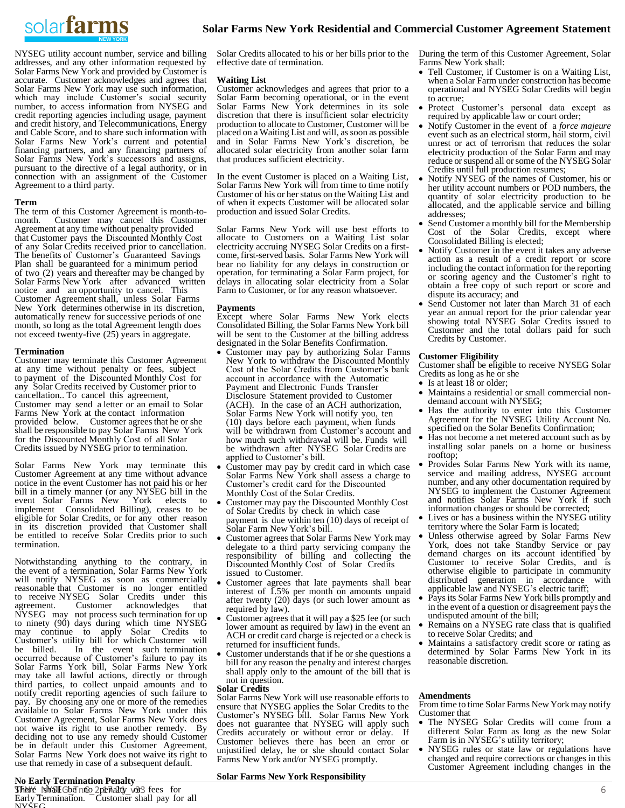

NYSEG utility account number, service and billing addresses, and any other information requested by Solar Farms New York and provided by Customer is accurate. Customer acknowledges and agrees that Solar Farms New York may use such information, which may include Customer's social security number, to access information from NYSEG and credit reporting agencies including usage, payment and credit history, and Telecommunications, Energy and Cable Score, and to share such information with Solar Farms New York's current and potential financing partners, and any financing partners of Solar Farms New York's successors and assigns, pursuant to the directive of a legal authority, or in connection with an assignment of the Customer Agreement to a third party.

#### **Term**

The term of this Customer Agreement is month-tomonth. Customer may cancel this Customer Agreement at any time without penalty provided that Customer pays the Discounted Monthly Cost of any Solar Credits received prior to cancellation. The benefits of Customer's Guaranteed Savings Plan shall be guaranteed for a minimum period of two (2) years and thereafter may be changed by Solar Farms New York after advanced written notice and an opportunity to cancel. This Customer Agreement shall, unless Solar Farms New York determines otherwise in its discretion, automatically renew for successive periods of one month, so long as the total Agreement length does not exceed twenty-five (25) years in aggregate.

#### **Termination**

Customer may terminate this Customer Agreement at any time without penalty or fees, subject to payment of the Discounted Monthly Cost for any Solar Credits received by Customer prior to cancellation.. To cancel this agreement, Customer may send a letter or an email to Solar Farms New York at the contact information provided below. Customer agrees that he or she shall be responsible to pay Solar Farms New York for the Discounted Monthly Cost of all Solar Credits issued by NYSEG prior to termination.

Solar Farms New York may terminate this Customer Agreement at any time without advance notice in the event Customer has not paid his or her bill in a timely manner (or any NYSEG bill in the event Solar Farms New York elects to implement Consolidated Billing), ceases to be eligible for Solar Credits, or for any other reason in its discretion provided that Customer shall be entitled to receive Solar Credits prior to such termination.

Notwithstanding anything to the contrary, in the event of a termination, Solar Farms New York will notify NYSEG as soon as commercially reasonable that Customer is no longer entitled to receive NYSEG Solar Credits under this agreement. Customer acknowledges that NYSEG may not process such termination for up to ninety (90) days during which time NYSEG may continue to apply Solar Credits to Customer's utility bill for which Customer will<br>be billed. In the event such termination In the event such termination occurred because of Customer's failure to pay its Solar Farms York bill, Solar Farms New York may take all lawful actions, directly or through third parties, to collect unpaid amounts and to notify credit reporting agencies of such failure to pay. By choosing any one or more of the remedies available to Solar Farms New York under this Customer Agreement, Solar Farms New York does not waive its right to use another remedy. By deciding not to use any remedy should Customer be in default under this Customer Agreement, Solar Farms New York does not waive its right to use that remedy in case of a subsequent default.

# **No Early Termination Penalty**

 $\frac{1}{2}$ Shere shall Gba no penalty or fees for Early Termination. <sup>-</sup>Customer shall pay for all NYSEG

Solar Credits allocated to his or her bills prior to the effective date of termination.

# **Waiting List**

Customer acknowledges and agrees that prior to a Solar Farm becoming operational, or in the event Solar Farms New York determines in its sole discretion that there is insufficient solar electricity production to allocate to Customer, Customer will be placed on a Waiting List and will, as soon as possible and in Solar Farms New York's discretion, be allocated solar electricity from another solar farm that produces sufficient electricity.

In the event Customer is placed on a Waiting List, Solar Farms New York will from time to time notify Customer of his or her status on the Waiting List and of when it expects Customer will be allocated solar production and issued Solar Credits.

Solar Farms New York will use best efforts to allocate to Customers on a Waiting List solar electricity accruing NYSEG Solar Credits on a firstcome, first-served basis. Solar Farms New York will bear no liability for any delays in construction or operation, for terminating a Solar Farm project, for delays in allocating solar electricity from a Solar Farm to Customer, or for any reason whatsoever.

## **Payments**

Except where Solar Farms New York elects Consolidated Billing, the Solar Farms New York bill will be sent to the Customer at the billing address designated in the Solar Benefits Confirmation.

- Customer may pay by authorizing Solar Farms New York to withdraw the Discounted Monthly Cost of the Solar Credits from Customer's bank account in accordance with the Automatic Payment and Electronic Funds Transfer Disclosure Statement provided to Customer (ACH). In the case of an ACH authorization, Solar Farms New York will notify you, ten (10) days before each payment, when funds will be withdrawn from Customer's account and how much such withdrawal will be. Funds will be withdrawn after NYSEG Solar Credits are applied to Customer's bill.
- Customer may pay by credit card in which case Solar Farms New York shall assess a charge to Customer's credit card for the Discounted Monthly Cost of the Solar Credits.
- Customer may pay the Discounted Monthly Cost of Solar Credits by check in which case payment is due within ten (10) days of receipt of Solar Farm New York's bill.
- Customer agrees that Solar Farms New York may delegate to a third party servicing company the responsibility of billing and collecting the Discounted Monthly Cost of Solar Credits issued to Customer.
- Customer agrees that late payments shall bear interest of 1.5% per month on amounts unpaid after twenty (20) days (or such lower amount as required by law).
- Customer agrees that it will pay a \$25 fee (or such lower amount as required by law) in the event an ACH or credit card charge is rejected or a check is returned for insufficient funds.
- Customer understands that if he or she questions a bill for any reason the penalty and interest charges shall apply only to the amount of the bill that is not in question.

#### **Solar Credits**

Solar Farms New York will use reasonable efforts to ensure that NYSEG applies the Solar Credits to the Customer's NYSEG bill. Solar Farms New York does not guarantee that NYSEG will apply such Credits accurately or without error or delay. If Customer believes there has been an error or unjustified delay, he or she should contact Solar Farms New York and/or NYSEG promptly.

# **Solar Farms New York Responsibility**

During the term of this Customer Agreement, Solar Farms New York shall:

- Tell Customer, if Customer is on a Waiting List, when a Solar Farm under construction has become operational and NYSEG Solar Credits will begin to accrue;
- Protect Customer's personal data except as required by applicable law or court order;
- Notify Customer in the event of a *force majeure* event such as an electrical storm, hail storm, civil unrest or act of terrorism that reduces the solar electricity production of the Solar Farm and may reduce or suspend all or some of the NYSEG Solar Credits until full production resumes;
- Notify NYSEG of the names of Customer, his or her utility account numbers or POD numbers, the quantity of solar electricity production to be allocated, and the applicable service and billing addresses;
- Send Customer a monthly bill for the Membership Cost of the Solar Credits, except where Consolidated Billing is elected;
- Notify Customer in the event it takes any adverse action as a result of a credit report or score including the contact information for the reporting or scoring agency and the Customer's right to obtain a free copy of such report or score and dispute its accuracy; and
- Send Customer not later than March 31 of each year an annual report for the prior calendar year showing total NYSEG Solar Credits issued to Customer and the total dollars paid for such Credits by Customer.

#### **Customer Eligibility**

Customer shall be eligible to receive NYSEG Solar Credits as long as he or she

- Is at least  $18$  or older;
- Maintains a residential or small commercial nondemand account with NYSEG;
- Has the authority to enter into this Customer Agreement for the NYSEG Utility Account No. specified on the Solar Benefits Confirmation;
- Has not become a net metered account such as by installing solar panels on a home or business rooftop;
- Provides Solar Farms New York with its name, service and mailing address, NYSEG account number, and any other documentation required by NYSEG to implement the Customer Agreement and notifies Solar Farms New York if such information changes or should be corrected;
- Lives or has a business within the NYSEG utility territory where the Solar Farm is located;
- Unless otherwise agreed by Solar Farms New York, does not take Standby Service or pay demand charges on its account identified by Customer to receive Solar Credits, and is otherwise eligible to participate in community distributed generation in accordance with applicable law and NYSEG's electric tariff;
- Pays its Solar Farms New York bills promptly and in the event of a question or disagreement pays the undisputed amount of the bill;
- Remains on a NYSEG rate class that is qualified to receive Solar Credits; and
- Maintains a satisfactory credit score or rating as determined by Solar Farms New York in its reasonable discretion.

# **Amendments**

From time to time Solar Farms New York may notify Customer that

- The NYSEG Solar Credits will come from a different Solar Farm as long as the new Solar Farm is in NYSEG's utility territory;
- NYSEG rules or state law or regulations have changed and require corrections or changes in this Customer Agreement including changes in the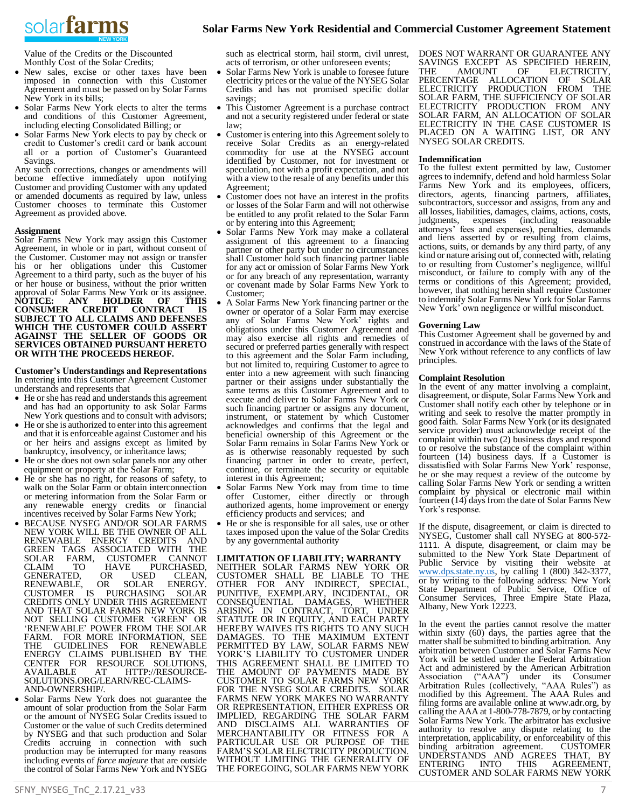# solarfarms

Value of the Credits or the Discounted Monthly Cost of the Solar Credits;

- New sales, excise or other taxes have been imposed in connection with this Customer Agreement and must be passed on by Solar Farms New York in its bills;
- Solar Farms New York elects to alter the terms and conditions of this Customer Agreement, including electing Consolidated Billing; or
- Solar Farms New York elects to pay by check or credit to Customer's credit card or bank account all or a portion of Customer's Guaranteed Savings.

Any such corrections, changes or amendments will become effective immediately upon notifying Customer and providing Customer with any updated or amended documents as required by law, unless Customer chooses to terminate this Customer Agreement as provided above.

# **Assignment**

Solar Farms New York may assign this Customer Agreement, in whole or in part, without consent of the Customer. Customer may not assign or transfer his or her obligations under this Customer Agreement to a third party, such as the buyer of his or her house or business, without the prior written approval of Solar Farms New York or its assignee. **NOTICE: ANY HOLDER OF THIS CONSUMER CREDIT CONTRACT IS SUBJECT TO ALL CLAIMS AND DEFENSES WHICH THE CUSTOMER COULD ASSERT AGAINST THE SELLER OF GOODS OR SERVICES OBTAINED PURSUANT HERETO OR WITH THE PROCEEDS HEREOF.** 

**Customer's Understandings and Representations** In entering into this Customer Agreement Customer understands and represents that

- He or she has read and understands this agreement and has had an opportunity to ask Solar Farms New York questions and to consult with advisors;
- He or she is authorized to enter into this agreement and that it is enforceable against Customer and his or her heirs and assigns except as limited by bankruptcy, insolvency, or inheritance laws;
- He or she does not own solar panels nor any other equipment or property at the Solar Farm;
- He or she has no right, for reasons of safety, to walk on the Solar Farm or obtain interconnection or metering information from the Solar Farm or any renewable energy credits or financial incentives received by Solar Farms New York;
- BECAUSE NYSEG AND/OR SOLAR FARMS NEW YORK WILL BE THE OWNER OF ALL RENEWABLE ENERGY CREDITS AND GREEN TAGS ASSOCIATED WITH THE SOLAR FARM, CUSTOMER CANNOT CLAIM TO HAVE PURCHASED, HAVE PURCHASED,<br>OR USED CLEAN, GENERATED, OR USED CLEAN, RENEWABLE, OR SOLAR ENERGY. CUSTOMER IS PURCHASING SOLAR CREDITS ONLY UNDER THIS AGREEMENT AND THAT SOLAR FARMS NEW YORK IS NOT SELLING CUSTOMER 'GREEN' OR 'RENEWABLE' POWER FROM THE SOLAR FARM. FOR MORE INFORMATION, SEE<br>THE GUIDELINES FOR RENEWABLE FOR RENEWABLE ENERGY CLAIMS PUBLISHED BY THE CENTER FOR RESOURCE SOLUTIONS, AVAILABLE AT HTTP://RESOURCE-AVAILABLE AT HTTP://RESOUR<br>SOLUTIONS.ORG/LEARN/REC-CLAIMS-AND-OWNERSHIP/.
- Solar Farms New York does not guarantee the amount of solar production from the Solar Farm or the amount of NYSEG Solar Credits issued to Customer or the value of such Credits determined by NYSEG and that such production and Solar Credits accruing in connection with such production may be interrupted for many reasons including events of *force majeure* that are outside the control of Solar Farms New York and NYSEG

such as electrical storm, hail storm, civil unrest, acts of terrorism, or other unforeseen events;

- Solar Farms New York is unable to foresee future electricity prices or the value of the NYSEG Solar Credits and has not promised specific dollar savings;
- This Customer Agreement is a purchase contract and not a security registered under federal or state law;
- Customer is entering into this Agreement solely to receive Solar Credits as an energy-related commodity for use at the NYSEG account identified by Customer, not for investment or speculation, not with a profit expectation, and not with a view to the resale of any benefits under this Agreement;
- Customer does not have an interest in the profits or losses of the Solar Farm and will not otherwise be entitled to any profit related to the Solar Farm or by entering into this Agreement;
- Solar Farms New York may make a collateral assignment of this agreement to a financing partner or other party but under no circumstances shall Customer hold such financing partner liable for any act or omission of Solar Farms New York or for any breach of any representation, warranty or covenant made by Solar Farms New York to Customer;
- A Solar Farms New York financing partner or the owner or operator of a Solar Farm may exercise any of Solar Farms New York' rights and obligations under this Customer Agreement and may also exercise all rights and remedies of secured or preferred parties generally with respect to this agreement and the Solar Farm including, but not limited to, requiring Customer to agree to enter into a new agreement with such financing partner or their assigns under substantially the same terms as this Customer Agreement and to execute and deliver to Solar Farms New York or such financing partner or assigns any document, instrument, or statement by which Customer acknowledges and confirms that the legal and beneficial ownership of this Agreement or the Solar Farm remains in Solar Farms New York or as is otherwise reasonably requested by such financing partner in order to create, perfect, continue, or terminate the security or equitable interest in this Agreement;
- Solar Farms New York may from time to time offer Customer, either directly or through authorized agents, home improvement or energy efficiency products and services; and
- He or she is responsible for all sales, use or other taxes imposed upon the value of the Solar Credits by any governmental authority

# **LIMITATION OF LIABILITY; WARRANTY**

NEITHER SOLAR FARMS NEW YORK OR CUSTOMER SHALL BE LIABLE TO THE OTHER FOR ANY INDIRECT, SPECIAL, PUNITIVE, EXEMPLARY, INCIDENTAL, OR CONSEQUENTIAL DAMAGES, WHETHER ARISING IN CONTRACT, TORT, UNDER STATUTE OR IN EQUITY, AND EACH PARTY HEREBY WAIVES ITS RIGHTS TO ANY SUCH DAMAGES. TO THE MAXIMUM EXTENT PERMITTED BY LAW, SOLAR FARMS NEW YORK'S LIABILITY TO CUSTOMER UNDER THIS AGREEMENT SHALL BE LIMITED TO THE AMOUNT OF PAYMENTS MADE BY CUSTOMER TO SOLAR FARMS NEW YORK FOR THE NYSEG SOLAR CREDITS. SOLAR FARMS NEW YORK MAKES NO WARRANTY OR REPRESENTATION, EITHER EXPRESS OR IMPLIED, REGARDING THE SOLAR FARM AND DISCLAIMS ALL WARRANTIES OF MERCHANTABILITY OR FITNESS FOR A PARTICULAR USE OR PURPOSE OF THE FARM'S SOLAR ELECTRICITY PRODUCTION. WITHOUT LIMITING THE GENERALITY OF THE FOREGOING, SOLAR FARMS NEW YORK DOES NOT WARRANT OR GUARANTEE ANY SAVINGS EXCEPT AS SPECIFIED HEREIN,<br>THE AMOUNT OF ELECTRICITY, ELECTRICITY, PERCENTAGE ALLOCATION OF SOLAR ELECTRICITY PRODUCTION FROM THE SOLAR FARM, THE SUFFICIENCY OF SOLAR ELECTRICITY PRODUCTION FROM ANY SOLAR FARM, AN ALLOCATION OF SOLAR ELECTRICITY IN THE CASE CUSTOMER IS PLACED ON A WAITING LIST, OR ANY NYSEG SOLAR CREDITS.

# **Indemnification**

To the fullest extent permitted by law, Customer agrees to indemnify, defend and hold harmless Solar Farms New York and its employees, officers, directors, agents, financing partners, affiliates, subcontractors, successor and assigns, from any and all losses, liabilities, damages, claims, actions, costs, judgments, expenses (including reasonable attorneys' fees and expenses), penalties, demands and liens asserted by or resulting from claims, actions, suits, or demands by any third party, of any kind or nature arising out of, connected with, relating to or resulting from Customer's negligence, willful misconduct, or failure to comply with any of the terms or conditions of this Agreement; provided, however, that nothing herein shall require Customer to indemnify Solar Farms New York for Solar Farms New York' own negligence or willful misconduct.

# **Governing Law**

This Customer Agreement shall be governed by and construed in accordance with the laws of the State of New York without reference to any conflicts of law principles.

# **Complaint Resolution**

In the event of any matter involving a complaint, disagreement, or dispute, Solar Farms New York and Customer shall notify each other by telephone or in writing and seek to resolve the matter promptly in good faith. Solar Farms New York (or its designated service provider) must acknowledge receipt of the complaint within two (2) business days and respond to or resolve the substance of the complaint within fourteen (14) business days. If a Customer is dissatisfied with Solar Farms New York' response, he or she may request a review of the outcome by calling Solar Farms New York or sending a written complaint by physical or electronic mail within fourteen (14) days from the date of Solar Farms New York's response.

If the dispute, disagreement, or claim is directed to NYSEG, Customer shall call NYSEG at 800-572- 1111. A dispute, disagreement, or claim may be submitted to the New York State Department of Public Service by visiting their website at [www.dps.state.ny.us,](http://www.dps.state.ny.us/) by calling 1 (800) 342-3377, or by writing to the following address: New York State Department of Public Service, Office of Consumer Services, Three Empire State Plaza, Albany, New York 12223.

In the event the parties cannot resolve the matter within sixty  $(60)$  days, the parties agree that the matter shall be submitted to binding arbitration. Any arbitration between Customer and Solar Farms New York will be settled under the Federal Arbitration Act and administered by the American Arbitration Association ("AAA") under its Consumer Arbitration Rules (collectively, "AAA Rules") as modified by this Agreement. The AAA Rules and filing forms are available online at www.adr.org, by calling the AAA at 1-800-778-7879, or by contacting Solar Farms New York. The arbitrator has exclusive authority to resolve any dispute relating to the interpretation, applicability, or enforceability of this<br>binding arbitration agreement. CUSTOMER binding arbitration agreement. CUSTOMER UNDERSTANDS AND AGREES THAT, BY ENTERING INTO THIS AGREEMENT, CUSTOMER AND SOLAR FARMS NEW YORK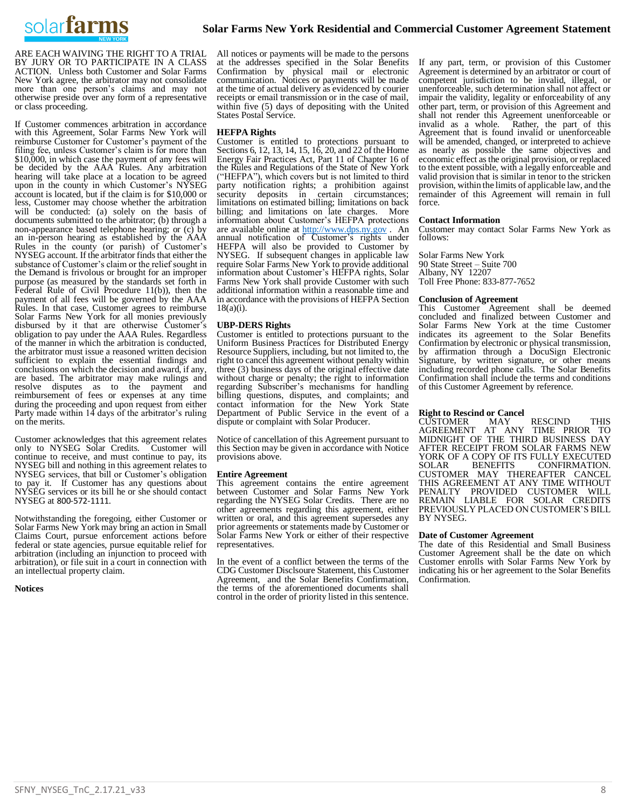

ARE EACH WAIVING THE RIGHT TO A TRIAL BY JURY OR TO PARTICIPATE IN A CLASS ACTION. Unless both Customer and Solar Farms New York agree, the arbitrator may not consolidate more than one person's claims and may not otherwise preside over any form of a representative or class proceeding.

If Customer commences arbitration in accordance with this Agreement, Solar Farms New York will reimburse Customer for Customer's payment of the filing fee, unless Customer's claim is for more than \$10,000, in which case the payment of any fees will be decided by the AAA Rules. Any arbitration hearing will take place at a location to be agreed upon in the county in which Customer's NYSEG account is located, but if the claim is for \$10,000 or less, Customer may choose whether the arbitration will be conducted: (a) solely on the basis of documents submitted to the arbitrator; (b) through a non-appearance based telephone hearing; or  $(c)$  by an in-person hearing as established by the AAA Rules in the county (or parish) of Customer's NYSEG account. If the arbitrator finds that either the substance of Customer's claim or the relief sought in the Demand is frivolous or brought for an improper purpose (as measured by the standards set forth in Federal Rule of Civil Procedure 11(b)), then the payment of all fees will be governed by the AAA Rules. In that case, Customer agrees to reimburse Solar Farms New York for all monies previously disbursed by it that are otherwise Customer's obligation to pay under the AAA Rules. Regardless of the manner in which the arbitration is conducted, the arbitrator must issue a reasoned written decision sufficient to explain the essential findings and conclusions on which the decision and award, if any, are based. The arbitrator may make rulings and resolve disputes as to the payment and reimbursement of fees or expenses at any time during the proceeding and upon request from either Party made within 14 days of the arbitrator's ruling on the merits.

Customer acknowledges that this agreement relates<br>only to NYSEG Solar Credits. Customer will only to NYSEG Solar Credits. continue to receive, and must continue to pay, its NYSEG bill and nothing in this agreement relates to NYSEG services, that bill or Customer's obligation to pay it. If Customer has any questions about NYSEG services or its bill he or she should contact NYSEG at 800-572-1111.

Notwithstanding the foregoing, either Customer or Solar Farms New York may bring an action in Small Claims Court, pursue enforcement actions before federal or state agencies, pursue equitable relief for arbitration (including an injunction to proceed with arbitration), or file suit in a court in connection with an intellectual property claim.

**Notices**

All notices or payments will be made to the persons at the addresses specified in the Solar Benefits Confirmation by physical mail or electronic communication. Notices or payments will be made at the time of actual delivery as evidenced by courier receipts or email transmission or in the case of mail, within five (5) days of depositing with the United States Postal Service.

# **HEFPA Rights**

Customer is entitled to protections pursuant to Sections 6, 12, 13, 14, 15, 16, 20, and 22 of the Home Energy Fair Practices Act, Part 11 of Chapter 16 of the Rules and Regulations of the State of New York ("HEFPA"), which covers but is not limited to third party notification rights; a prohibition against security deposits in certain circumstances; limitations on estimated billing; limitations on back billing; and limitations on late charges. More information about Customer's HEFPA protections are available online at [http://www.dps.ny.gov](http://www.dps.ny.gov/) . An annual notification of Customer's rights under HEFPA will also be provided to Customer by NYSEG. If subsequent changes in applicable law require Solar Farms New York to provide additional information about Customer's HEFPA rights, Solar Farms New York shall provide Customer with such additional information within a reasonable time and in accordance with the provisions of HEFPA Section 18(a)(i).

# **UBP-DERS Rights**

Customer is entitled to protections pursuant to the Uniform Business Practices for Distributed Energy Resource Suppliers, including, but not limited to, the right to cancel this agreement without penalty within three (3) business days of the original effective date without charge or penalty; the right to information regarding Subscriber's mechanisms for handling billing questions, disputes, and complaints; and contact information for the New York State Department of Public Service in the event of a dispute or complaint with Solar Producer.

Notice of cancellation of this Agreement pursuant to this Section may be given in accordance with Notice provisions above.

# **Entire Agreement**

This agreement contains the entire agreement between Customer and Solar Farms New York regarding the NYSEG Solar Credits. There are no other agreements regarding this agreement, either written or oral, and this agreement supersedes any prior agreements or statements made by Customer or Solar Farms New York or either of their respective representatives.

In the event of a conflict between the terms of the CDG Customer Disclsoure Statement, this Customer Agreement, and the Solar Benefits Confirmation, the terms of the aforementioned documents shall control in the order of priority listed in this sentence.

If any part, term, or provision of this Customer Agreement is determined by an arbitrator or court of competent jurisdiction to be invalid, illegal, or unenforceable, such determination shall not affect or impair the validity, legality or enforceability of any other part, term, or provision of this Agreement and shall not render this Agreement unenforceable or invalid as a whole. Rather, the part of this Agreement that is found invalid or unenforceable will be amended, changed, or interpreted to achieve as nearly as possible the same objectives and economic effect as the original provision, or replaced to the extent possible, with a legally enforceable and valid provision that is similar in tenor to the stricken provision, within the limits of applicable law, and the remainder of this Agreement will remain in full force.

#### **Contact Information**

Customer may contact Solar Farms New York as follows:

Solar Farms New York 90 State Street – Suite 700 Albany, NY 12207 Toll Free Phone: 833-877-7652

# **Conclusion of Agreement**

This Customer Agreement shall be deemed concluded and finalized between Customer and Solar Farms New York at the time Customer indicates its agreement to the Solar Benefits Confirmation by electronic or physical transmission, by affirmation through a DocuSign Electronic Signature, by written signature, or other means including recorded phone calls. The Solar Benefits Confirmation shall include the terms and conditions of this Customer Agreement by reference.

# **Right to Rescind or Cancel**

CUSTOMER MAY RESCIND THIS<br>AGREEMENT AT ANY TIME PRIOR TO AGREEMENT AT ANY TIME PRIOR TO MIDNIGHT OF THE THIRD BUSINESS DAY AFTER RECEIPT FROM SOLAR FARMS NEW YORK OF A COPY OF ITS FULLY EXECUTED SOLAR BENEFITS CONFIRMATION. CONFIRMATION. CUSTOMER MAY THEREAFTER CANCEL THIS AGREEMENT AT ANY TIME WITHOUT PENALTY PROVIDED CUSTOMER WILL REMAIN LIABLE FOR SOLAR CREDITS PREVIOUSLY PLACED ON CUSTOMER'S BILL BY NYSEG.

#### **Date of Customer Agreement**

The date of this Residential and Small Business Customer Agreement shall be the date on which Customer enrolls with Solar Farms New York by indicating his or her agreement to the Solar Benefits Confirmation.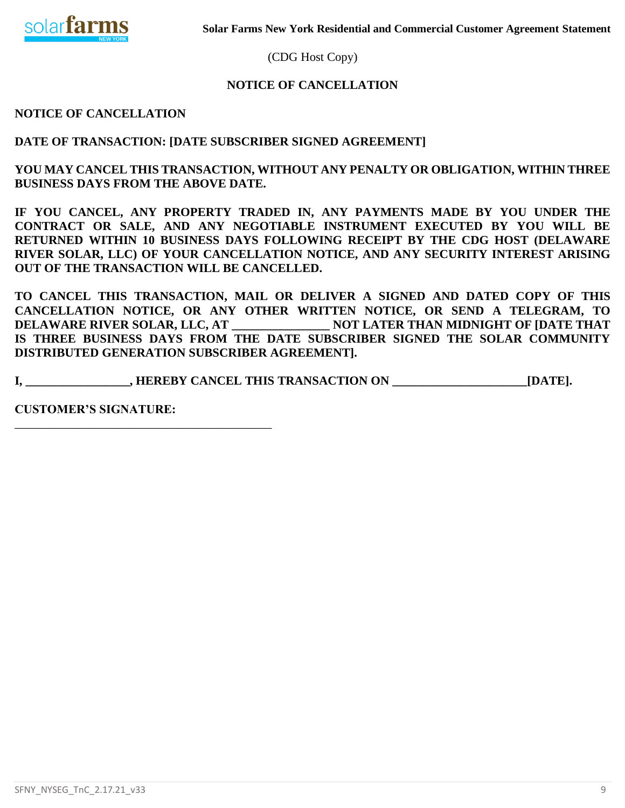

(CDG Host Copy)

# **NOTICE OF CANCELLATION**

**NOTICE OF CANCELLATION**

**DATE OF TRANSACTION: [DATE SUBSCRIBER SIGNED AGREEMENT]**

**YOU MAY CANCEL THIS TRANSACTION, WITHOUT ANY PENALTY OR OBLIGATION, WITHIN THREE BUSINESS DAYS FROM THE ABOVE DATE.** 

**IF YOU CANCEL, ANY PROPERTY TRADED IN, ANY PAYMENTS MADE BY YOU UNDER THE CONTRACT OR SALE, AND ANY NEGOTIABLE INSTRUMENT EXECUTED BY YOU WILL BE RETURNED WITHIN 10 BUSINESS DAYS FOLLOWING RECEIPT BY THE CDG HOST (DELAWARE RIVER SOLAR, LLC) OF YOUR CANCELLATION NOTICE, AND ANY SECURITY INTEREST ARISING OUT OF THE TRANSACTION WILL BE CANCELLED.**

**TO CANCEL THIS TRANSACTION, MAIL OR DELIVER A SIGNED AND DATED COPY OF THIS CANCELLATION NOTICE, OR ANY OTHER WRITTEN NOTICE, OR SEND A TELEGRAM, TO DELAWARE RIVER SOLAR, LLC, AT \_\_\_\_\_\_\_\_\_\_\_\_\_\_\_\_ NOT LATER THAN MIDNIGHT OF [DATE THAT IS THREE BUSINESS DAYS FROM THE DATE SUBSCRIBER SIGNED THE SOLAR COMMUNITY DISTRIBUTED GENERATION SUBSCRIBER AGREEMENT].**

**I, \_\_\_\_\_\_\_\_\_\_\_\_\_\_\_\_\_, HEREBY CANCEL THIS TRANSACTION ON \_\_\_\_\_\_\_\_\_\_\_\_\_\_\_\_\_\_\_\_\_\_[DATE].**

**CUSTOMER'S SIGNATURE:**

\_\_\_\_\_\_\_\_\_\_\_\_\_\_\_\_\_\_\_\_\_\_\_\_\_\_\_\_\_\_\_\_\_\_\_\_\_\_\_\_\_\_